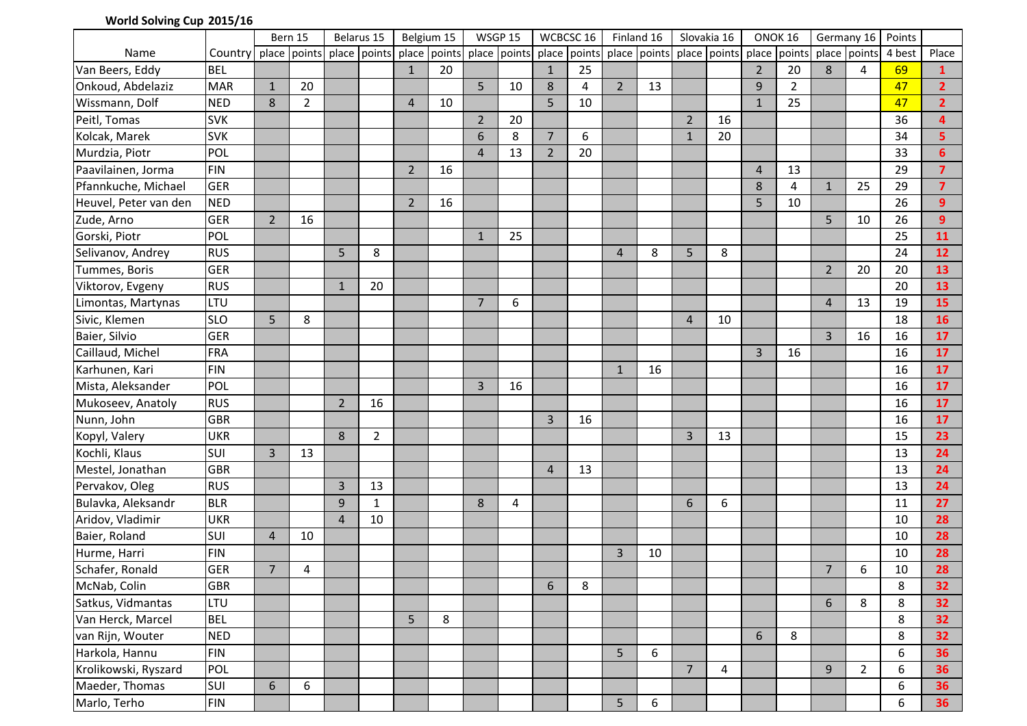## **World Solving Cup 2015/16**

|                       |                 | Bern 15        |                                                                                                                                | Belarus 15     |                | Belgium 15     |    | <b>WSGP 15</b> |    | WCBCSC 16      |    | Finland 16     |    | Slovakia 16    |                | ONOK <sub>16</sub> |                | Germany 16       |                | Points |                  |
|-----------------------|-----------------|----------------|--------------------------------------------------------------------------------------------------------------------------------|----------------|----------------|----------------|----|----------------|----|----------------|----|----------------|----|----------------|----------------|--------------------|----------------|------------------|----------------|--------|------------------|
| <b>Name</b>           | Country   place |                | points  place  points  place  points  place  points  place  points  place  points  place  points  place  points  place  points |                |                |                |    |                |    |                |    |                |    |                |                |                    |                |                  |                | 4 best | Place            |
| Van Beers, Eddy       | <b>BEL</b>      |                |                                                                                                                                |                |                | 1              | 20 |                |    | $\mathbf{1}$   | 25 |                |    |                |                | $\overline{2}$     | 20             | 8                | 4              | 69     | $\mathbf{1}$     |
| Onkoud, Abdelaziz     | <b>MAR</b>      | $\mathbf{1}$   | 20                                                                                                                             |                |                |                |    | 5 <sup>1</sup> | 10 | 8              | 4  | $\overline{2}$ | 13 |                |                | 9                  | $\overline{2}$ |                  |                | 47     | 2 <sup>1</sup>   |
| Wissmann, Dolf        | <b>NED</b>      | 8              | $\overline{2}$                                                                                                                 |                |                | 4              | 10 |                |    | 5              | 10 |                |    |                |                |                    | 25             |                  |                | 47     | $\overline{2}$   |
| Peitl, Tomas          | <b>SVK</b>      |                |                                                                                                                                |                |                |                |    | $2^{\circ}$    | 20 |                |    |                |    | $\overline{2}$ | 16             |                    |                |                  |                | 36     | 4                |
| Kolcak, Marek         | <b>SVK</b>      |                |                                                                                                                                |                |                |                |    | 6              | 8  | $\overline{7}$ | 6  |                |    |                | 20             |                    |                |                  |                | 34     | 5 <sup>1</sup>   |
| Murdzia, Piotr        | POL             |                |                                                                                                                                |                |                |                |    | $\overline{4}$ | 13 | $2^{\circ}$    | 20 |                |    |                |                |                    |                |                  |                | 33     | $6 \overline{6}$ |
| Paavilainen, Jorma    | <b>FIN</b>      |                |                                                                                                                                |                |                | $\overline{2}$ | 16 |                |    |                |    |                |    |                |                | 4                  | 13             |                  |                | 29     | $\overline{7}$   |
| Pfannkuche, Michael   | <b>GER</b>      |                |                                                                                                                                |                |                |                |    |                |    |                |    |                |    |                |                | 8                  | $\overline{4}$ | $\mathbf{1}$     | 25             | 29     | $\overline{7}$   |
| Heuvel, Peter van den | <b>NED</b>      |                |                                                                                                                                |                |                | $\overline{2}$ | 16 |                |    |                |    |                |    |                |                | 5                  | 10             |                  |                | 26     | 9                |
| Zude, Arno            | <b>GER</b>      | $\overline{2}$ | 16                                                                                                                             |                |                |                |    |                |    |                |    |                |    |                |                |                    |                | 5 <sup>1</sup>   | 10             | 26     | 9 <sup>°</sup>   |
| Gorski, Piotr         | POL             |                |                                                                                                                                |                |                |                |    | $\mathbf{1}$   | 25 |                |    |                |    |                |                |                    |                |                  |                | 25     | 11               |
| Selivanov, Andrey     | <b>RUS</b>      |                |                                                                                                                                | 5              | 8              |                |    |                |    |                |    | $\overline{4}$ | 8  | 5              | 8              |                    |                |                  |                | 24     | 12               |
| Tummes, Boris         | <b>GER</b>      |                |                                                                                                                                |                |                |                |    |                |    |                |    |                |    |                |                |                    |                | 2 <sup>1</sup>   | 20             | 20     | 13               |
| Viktorov, Evgeny      | <b>RUS</b>      |                |                                                                                                                                | $\mathbf{1}$   | 20             |                |    |                |    |                |    |                |    |                |                |                    |                |                  |                | 20     | 13               |
| Limontas, Martynas    | LTU             |                |                                                                                                                                |                |                |                |    | $\overline{7}$ | 6  |                |    |                |    |                |                |                    |                | $\overline{4}$   | 13             | 19     | 15               |
| Sivic, Klemen         | <b>SLO</b>      | 5              | 8                                                                                                                              |                |                |                |    |                |    |                |    |                |    | 4              | 10             |                    |                |                  |                | 18     | 16               |
| Baier, Silvio         | <b>GER</b>      |                |                                                                                                                                |                |                |                |    |                |    |                |    |                |    |                |                |                    |                | $\overline{3}$   | 16             | 16     | 17               |
| Caillaud, Michel      | <b>FRA</b>      |                |                                                                                                                                |                |                |                |    |                |    |                |    |                |    |                |                | $\overline{3}$     | 16             |                  |                | 16     | 17               |
| Karhunen, Kari        | <b>FIN</b>      |                |                                                                                                                                |                |                |                |    |                |    |                |    | $\mathbf{1}$   | 16 |                |                |                    |                |                  |                | 16     | 17               |
| Mista, Aleksander     | POL             |                |                                                                                                                                |                |                |                |    | $\overline{3}$ | 16 |                |    |                |    |                |                |                    |                |                  |                | 16     | 17               |
| Mukoseev, Anatoly     | <b>RUS</b>      |                |                                                                                                                                | $\overline{2}$ | 16             |                |    |                |    |                |    |                |    |                |                |                    |                |                  |                | 16     | 17               |
| Nunn, John            | <b>GBR</b>      |                |                                                                                                                                |                |                |                |    |                |    | $\overline{3}$ | 16 |                |    |                |                |                    |                |                  |                | 16     | 17               |
| Kopyl, Valery         | <b>UKR</b>      |                |                                                                                                                                | 8              | $\overline{2}$ |                |    |                |    |                |    |                |    | $\overline{3}$ | 13             |                    |                |                  |                | 15     | 23               |
| Kochli, Klaus         | SUI             | $\overline{3}$ | 13                                                                                                                             |                |                |                |    |                |    |                |    |                |    |                |                |                    |                |                  |                | 13     | 24               |
| Mestel, Jonathan      | <b>GBR</b>      |                |                                                                                                                                |                |                |                |    |                |    | $\overline{4}$ | 13 |                |    |                |                |                    |                |                  |                | 13     | 24               |
| Pervakov, Oleg        | <b>RUS</b>      |                |                                                                                                                                | 3              | 13             |                |    |                |    |                |    |                |    |                |                |                    |                |                  |                | 13     | 24               |
| Bulavka, Aleksandr    | <b>BLR</b>      |                |                                                                                                                                | 9              | $\mathbf{1}$   |                |    | 8              | 4  |                |    |                |    | 6              | $6\phantom{1}$ |                    |                |                  |                | 11     | 27               |
| Aridov, Vladimir      | <b>UKR</b>      |                |                                                                                                                                | $\overline{4}$ | 10             |                |    |                |    |                |    |                |    |                |                |                    |                |                  |                | 10     | 28               |
| Baier, Roland         | SUI             | $\overline{4}$ | 10                                                                                                                             |                |                |                |    |                |    |                |    |                |    |                |                |                    |                |                  |                | 10     | 28               |
| Hurme, Harri          | <b>FIN</b>      |                |                                                                                                                                |                |                |                |    |                |    |                |    | $\overline{3}$ | 10 |                |                |                    |                |                  |                | 10     | 28               |
| Schafer, Ronald       | <b>GER</b>      | $\overline{7}$ | 4                                                                                                                              |                |                |                |    |                |    |                |    |                |    |                |                |                    |                | $\overline{7}$   | 6              | 10     | 28               |
| McNab, Colin          | <b>GBR</b>      |                |                                                                                                                                |                |                |                |    |                |    | 6              | 8  |                |    |                |                |                    |                |                  |                | 8      | 32               |
| Satkus, Vidmantas     | <b>LTU</b>      |                |                                                                                                                                |                |                |                |    |                |    |                |    |                |    |                |                |                    |                | $6 \overline{6}$ | 8              | 8      | 32               |
| Van Herck, Marcel     | <b>BEL</b>      |                |                                                                                                                                |                |                | 5              | 8  |                |    |                |    |                |    |                |                |                    |                |                  |                | 8      | 32               |
| van Rijn, Wouter      | <b>NED</b>      |                |                                                                                                                                |                |                |                |    |                |    |                |    |                |    |                |                | 6                  | 8              |                  |                | 8      | 32 <sub>2</sub>  |
| Harkola, Hannu        | <b>FIN</b>      |                |                                                                                                                                |                |                |                |    |                |    |                |    | 5              | 6  |                |                |                    |                |                  |                | 6      | 36               |
| Krolikowski, Ryszard  | POL             |                |                                                                                                                                |                |                |                |    |                |    |                |    |                |    | $\overline{7}$ | 4              |                    |                | 9                | $\overline{2}$ | 6      | 36               |
| Maeder, Thomas        | SUI             | 6              | 6                                                                                                                              |                |                |                |    |                |    |                |    |                |    |                |                |                    |                |                  |                | 6      | 36               |
| Marlo, Terho          | FIN             |                |                                                                                                                                |                |                |                |    |                |    |                |    | 5 <sup>5</sup> | 6  |                |                |                    |                |                  |                | 6      | 36               |